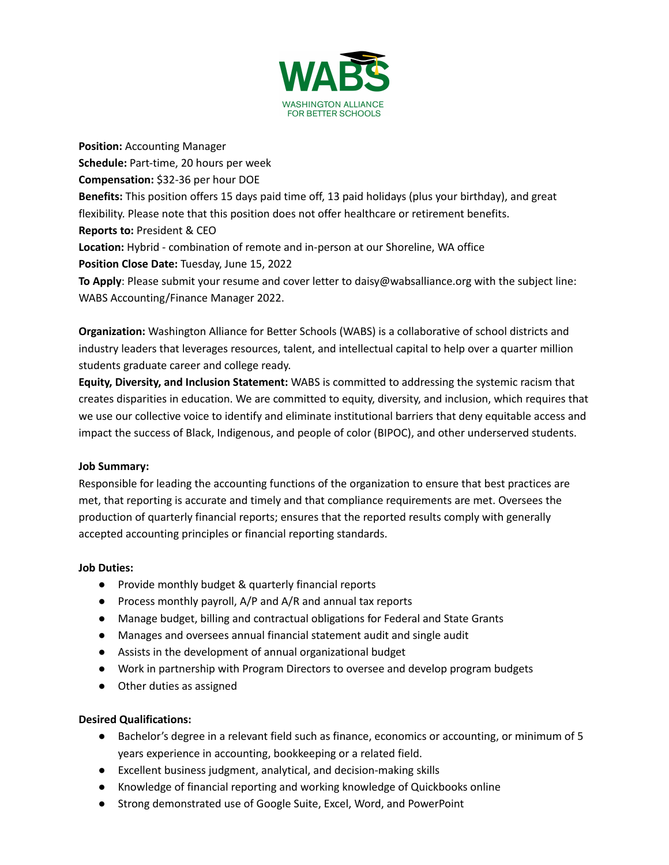

**Position:** Accounting Manager **Schedule:** Part-time, 20 hours per week **Compensation:** \$32-36 per hour DOE **Benefits:** This position offers 15 days paid time off, 13 paid holidays (plus your birthday), and great flexibility. Please note that this position does not offer healthcare or retirement benefits. **Reports to:** President & CEO **Location:** Hybrid - combination of remote and in-person at our Shoreline, WA office **Position Close Date:** Tuesday, June 15, 2022 **To Apply**: Please submit your resume and cover letter to daisy@wabsalliance.org with the subject line: WABS Accounting/Finance Manager 2022.

**Organization:** Washington Alliance for Better Schools (WABS) is a collaborative of school districts and industry leaders that leverages resources, talent, and intellectual capital to help over a quarter million students graduate career and college ready.

**Equity, Diversity, and Inclusion Statement:** WABS is committed to addressing the systemic racism that creates disparities in education. We are committed to equity, diversity, and inclusion, which requires that we use our collective voice to identify and eliminate institutional barriers that deny equitable access and impact the success of Black, Indigenous, and people of color (BIPOC), and other underserved students.

## **Job Summary:**

Responsible for leading the accounting functions of the organization to ensure that best practices are met, that reporting is accurate and timely and that compliance requirements are met. Oversees the production of quarterly financial reports; ensures that the reported results comply with generally accepted accounting principles or financial reporting standards.

## **Job Duties:**

- Provide monthly budget & quarterly financial reports
- Process monthly payroll, A/P and A/R and annual tax reports
- Manage budget, billing and contractual obligations for Federal and State Grants
- Manages and oversees annual financial statement audit and single audit
- Assists in the development of annual organizational budget
- Work in partnership with Program Directors to oversee and develop program budgets
- Other duties as assigned

## **Desired Qualifications:**

- Bachelor's degree in a relevant field such as finance, economics or accounting, or minimum of 5 years experience in accounting, bookkeeping or a related field.
- Excellent business judgment, analytical, and decision-making skills
- Knowledge of financial reporting and working knowledge of Quickbooks online
- Strong demonstrated use of Google Suite, Excel, Word, and PowerPoint